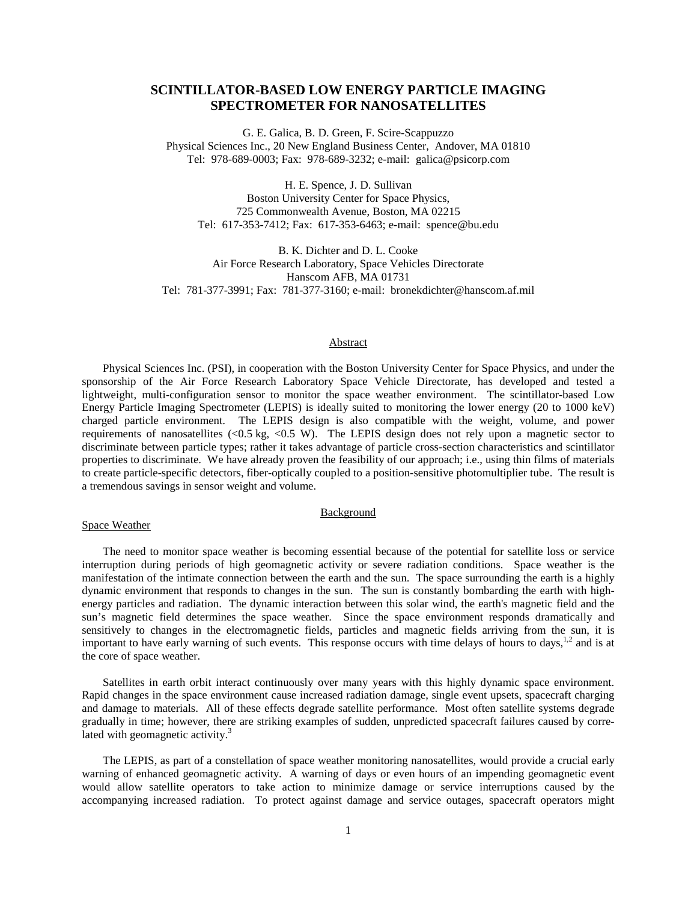# **SCINTILLATOR-BASED LOW ENERGY PARTICLE IMAGING SPECTROMETER FOR NANOSATELLITES**

G. E. Galica, B. D. Green, F. Scire-Scappuzzo Physical Sciences Inc., 20 New England Business Center, Andover, MA 01810 Tel: 978-689-0003; Fax: 978-689-3232; e-mail: galica@psicorp.com

H. E. Spence, J. D. Sullivan Boston University Center for Space Physics, 725 Commonwealth Avenue, Boston, MA 02215 Tel: 617-353-7412; Fax: 617-353-6463; e-mail: spence@bu.edu

B. K. Dichter and D. L. Cooke Air Force Research Laboratory, Space Vehicles Directorate Hanscom AFB, MA 01731 Tel: 781-377-3991; Fax: 781-377-3160; e-mail: bronekdichter@hanscom.af.mil

## Abstract

Physical Sciences Inc. (PSI), in cooperation with the Boston University Center for Space Physics, and under the sponsorship of the Air Force Research Laboratory Space Vehicle Directorate, has developed and tested a lightweight, multi-configuration sensor to monitor the space weather environment. The scintillator-based Low Energy Particle Imaging Spectrometer (LEPIS) is ideally suited to monitoring the lower energy (20 to 1000 keV) charged particle environment. The LEPIS design is also compatible with the weight, volume, and power requirements of nanosatellites (<0.5 kg, <0.5 W). The LEPIS design does not rely upon a magnetic sector to discriminate between particle types; rather it takes advantage of particle cross-section characteristics and scintillator properties to discriminate. We have already proven the feasibility of our approach; i.e., using thin films of materials to create particle-specific detectors, fiber-optically coupled to a position-sensitive photomultiplier tube. The result is a tremendous savings in sensor weight and volume.

#### **Background**

## Space Weather

The need to monitor space weather is becoming essential because of the potential for satellite loss or service interruption during periods of high geomagnetic activity or severe radiation conditions. Space weather is the manifestation of the intimate connection between the earth and the sun. The space surrounding the earth is a highly dynamic environment that responds to changes in the sun. The sun is constantly bombarding the earth with highenergy particles and radiation. The dynamic interaction between this solar wind, the earth's magnetic field and the sun's magnetic field determines the space weather. Since the space environment responds dramatically and sensitively to changes in the electromagnetic fields, particles and magnetic fields arriving from the sun, it is important to have early warning of such events. This response occurs with time delays of hours to days,<sup>1,2</sup> and is at the core of space weather.

Satellites in earth orbit interact continuously over many years with this highly dynamic space environment. Rapid changes in the space environment cause increased radiation damage, single event upsets, spacecraft charging and damage to materials. All of these effects degrade satellite performance. Most often satellite systems degrade gradually in time; however, there are striking examples of sudden, unpredicted spacecraft failures caused by correlated with geomagnetic activity.<sup>3</sup>

The LEPIS, as part of a constellation of space weather monitoring nanosatellites, would provide a crucial early warning of enhanced geomagnetic activity. A warning of days or even hours of an impending geomagnetic event would allow satellite operators to take action to minimize damage or service interruptions caused by the accompanying increased radiation. To protect against damage and service outages, spacecraft operators might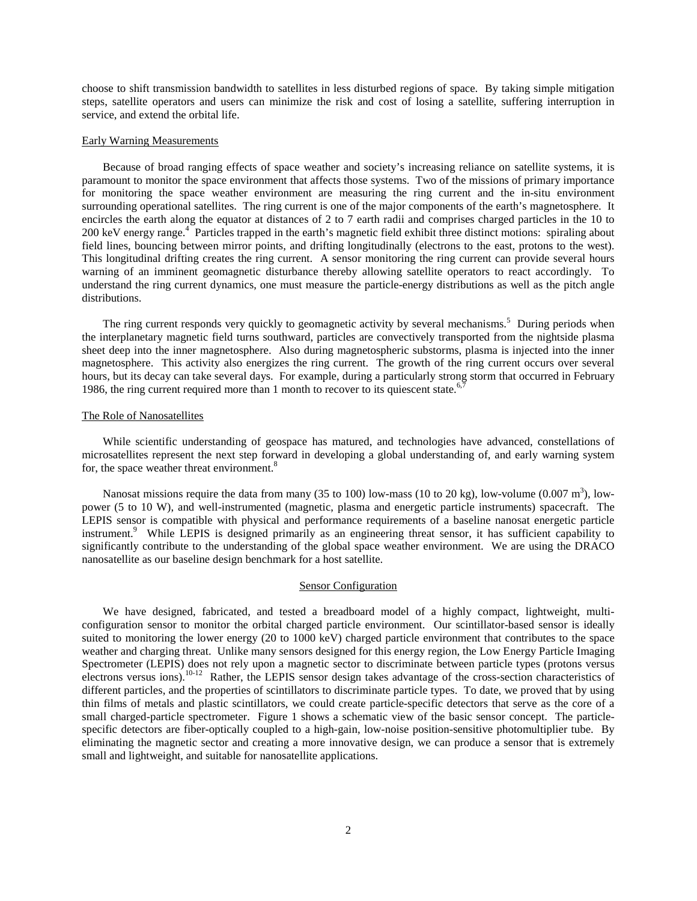choose to shift transmission bandwidth to satellites in less disturbed regions of space. By taking simple mitigation steps, satellite operators and users can minimize the risk and cost of losing a satellite, suffering interruption in service, and extend the orbital life.

#### Early Warning Measurements

Because of broad ranging effects of space weather and society's increasing reliance on satellite systems, it is paramount to monitor the space environment that affects those systems. Two of the missions of primary importance for monitoring the space weather environment are measuring the ring current and the in-situ environment surrounding operational satellites. The ring current is one of the major components of the earth's magnetosphere. It encircles the earth along the equator at distances of 2 to 7 earth radii and comprises charged particles in the 10 to 200 keV energy range.<sup>4</sup> Particles trapped in the earth's magnetic field exhibit three distinct motions: spiraling about field lines, bouncing between mirror points, and drifting longitudinally (electrons to the east, protons to the west). This longitudinal drifting creates the ring current. A sensor monitoring the ring current can provide several hours warning of an imminent geomagnetic disturbance thereby allowing satellite operators to react accordingly. To understand the ring current dynamics, one must measure the particle-energy distributions as well as the pitch angle distributions.

The ring current responds very quickly to geomagnetic activity by several mechanisms.<sup>5</sup> During periods when the interplanetary magnetic field turns southward, particles are convectively transported from the nightside plasma sheet deep into the inner magnetosphere. Also during magnetospheric substorms, plasma is injected into the inner magnetosphere. This activity also energizes the ring current. The growth of the ring current occurs over several hours, but its decay can take several days. For example, during a particularly strong storm that occurred in February 1986, the ring current required more than 1 month to recover to its quiescent state.<sup>6,7</sup>

## The Role of Nanosatellites

While scientific understanding of geospace has matured, and technologies have advanced, constellations of microsatellites represent the next step forward in developing a global understanding of, and early warning system for, the space weather threat environment.<sup>8</sup>

Nanosat missions require the data from many (35 to 100) low-mass (10 to 20 kg), low-volume (0.007 m<sup>3</sup>), lowpower (5 to 10 W), and well-instrumented (magnetic, plasma and energetic particle instruments) spacecraft. The LEPIS sensor is compatible with physical and performance requirements of a baseline nanosat energetic particle instrument.<sup>9</sup> While LEPIS is designed primarily as an engineering threat sensor, it has sufficient capability to significantly contribute to the understanding of the global space weather environment. We are using the DRACO nanosatellite as our baseline design benchmark for a host satellite.

#### Sensor Configuration

We have designed, fabricated, and tested a breadboard model of a highly compact, lightweight, multiconfiguration sensor to monitor the orbital charged particle environment. Our scintillator-based sensor is ideally suited to monitoring the lower energy (20 to 1000 keV) charged particle environment that contributes to the space weather and charging threat. Unlike many sensors designed for this energy region, the Low Energy Particle Imaging Spectrometer (LEPIS) does not rely upon a magnetic sector to discriminate between particle types (protons versus electrons versus ions).<sup>10-12</sup> Rather, the LEPIS sensor design takes advantage of the cross-section characteristics of different particles, and the properties of scintillators to discriminate particle types. To date, we proved that by using thin films of metals and plastic scintillators, we could create particle-specific detectors that serve as the core of a small charged-particle spectrometer. Figure 1 shows a schematic view of the basic sensor concept. The particlespecific detectors are fiber-optically coupled to a high-gain, low-noise position-sensitive photomultiplier tube. By eliminating the magnetic sector and creating a more innovative design, we can produce a sensor that is extremely small and lightweight, and suitable for nanosatellite applications.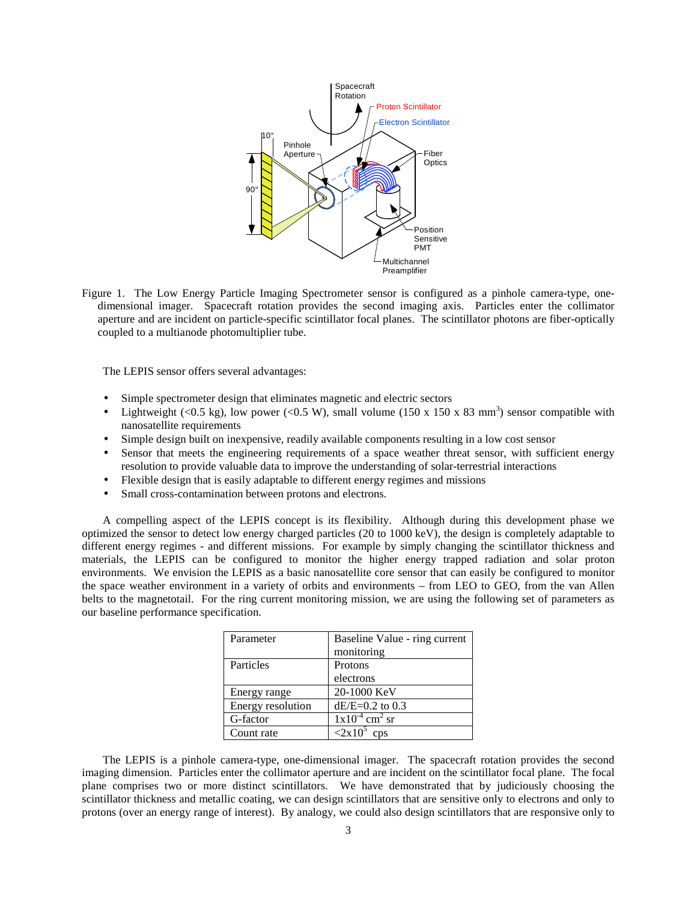

Figure 1. The Low Energy Particle Imaging Spectrometer sensor is configured as a pinhole camera-type, onedimensional imager. Spacecraft rotation provides the second imaging axis. Particles enter the collimator aperture and are incident on particle-specific scintillator focal planes. The scintillator photons are fiber-optically coupled to a multianode photomultiplier tube.

The LEPIS sensor offers several advantages:

- Simple spectrometer design that eliminates magnetic and electric sectors
- Lightweight (<0.5 kg), low power (<0.5 W), small volume (150 x 150 x 83 mm<sup>3</sup>) sensor compatible with nanosatellite requirements
- Simple design built on inexpensive, readily available components resulting in a low cost sensor
- Sensor that meets the engineering requirements of a space weather threat sensor, with sufficient energy resolution to provide valuable data to improve the understanding of solar-terrestrial interactions
- Flexible design that is easily adaptable to different energy regimes and missions
- Small cross-contamination between protons and electrons.

A compelling aspect of the LEPIS concept is its flexibility. Although during this development phase we optimized the sensor to detect low energy charged particles (20 to 1000 keV), the design is completely adaptable to different energy regimes - and different missions. For example by simply changing the scintillator thickness and materials, the LEPIS can be configured to monitor the higher energy trapped radiation and solar proton environments. We envision the LEPIS as a basic nanosatellite core sensor that can easily be configured to monitor the space weather environment in a variety of orbits and environments – from LEO to GEO, from the van Allen belts to the magnetotail. For the ring current monitoring mission, we are using the following set of parameters as our baseline performance specification.

| Parameter         | Baseline Value - ring current<br>monitoring |
|-------------------|---------------------------------------------|
| Particles         | Protons                                     |
|                   | electrons                                   |
| Energy range      | 20-1000 KeV                                 |
| Energy resolution | $dE/E=0.2$ to 0.3                           |
| G-factor          | $1x10^{-4}$ cm <sup>2</sup> sr              |
| Count rate        | $\langle 2x10^5 \rangle$<br>cps             |

The LEPIS is a pinhole camera-type, one-dimensional imager. The spacecraft rotation provides the second imaging dimension. Particles enter the collimator aperture and are incident on the scintillator focal plane. The focal plane comprises two or more distinct scintillators. We have demonstrated that by judiciously choosing the scintillator thickness and metallic coating, we can design scintillators that are sensitive only to electrons and only to protons (over an energy range of interest). By analogy, we could also design scintillators that are responsive only to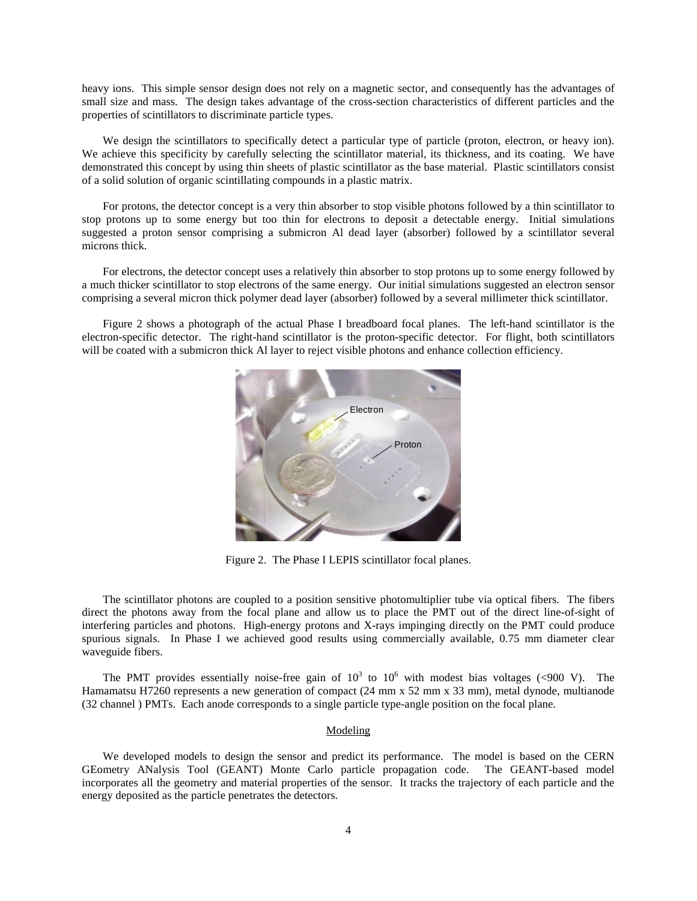heavy ions. This simple sensor design does not rely on a magnetic sector, and consequently has the advantages of small size and mass. The design takes advantage of the cross-section characteristics of different particles and the properties of scintillators to discriminate particle types.

We design the scintillators to specifically detect a particular type of particle (proton, electron, or heavy ion). We achieve this specificity by carefully selecting the scintillator material, its thickness, and its coating. We have demonstrated this concept by using thin sheets of plastic scintillator as the base material. Plastic scintillators consist of a solid solution of organic scintillating compounds in a plastic matrix.

For protons, the detector concept is a very thin absorber to stop visible photons followed by a thin scintillator to stop protons up to some energy but too thin for electrons to deposit a detectable energy. Initial simulations suggested a proton sensor comprising a submicron Al dead layer (absorber) followed by a scintillator several microns thick.

For electrons, the detector concept uses a relatively thin absorber to stop protons up to some energy followed by a much thicker scintillator to stop electrons of the same energy. Our initial simulations suggested an electron sensor comprising a several micron thick polymer dead layer (absorber) followed by a several millimeter thick scintillator.

 Figure 2 shows a photograph of the actual Phase I breadboard focal planes. The left-hand scintillator is the electron-specific detector. The right-hand scintillator is the proton-specific detector. For flight, both scintillators will be coated with a submicron thick Al layer to reject visible photons and enhance collection efficiency.



Figure 2. The Phase I LEPIS scintillator focal planes.

The scintillator photons are coupled to a position sensitive photomultiplier tube via optical fibers. The fibers direct the photons away from the focal plane and allow us to place the PMT out of the direct line-of-sight of interfering particles and photons. High-energy protons and X-rays impinging directly on the PMT could produce spurious signals. In Phase I we achieved good results using commercially available, 0.75 mm diameter clear waveguide fibers.

The PMT provides essentially noise-free gain of  $10^3$  to  $10^6$  with modest bias voltages (<900 V). The Hamamatsu H7260 represents a new generation of compact (24 mm x 52 mm x 33 mm), metal dynode, multianode (32 channel ) PMTs. Each anode corresponds to a single particle type-angle position on the focal plane.

## Modeling

We developed models to design the sensor and predict its performance. The model is based on the CERN GEometry ANalysis Tool (GEANT) Monte Carlo particle propagation code. The GEANT-based model incorporates all the geometry and material properties of the sensor. It tracks the trajectory of each particle and the energy deposited as the particle penetrates the detectors.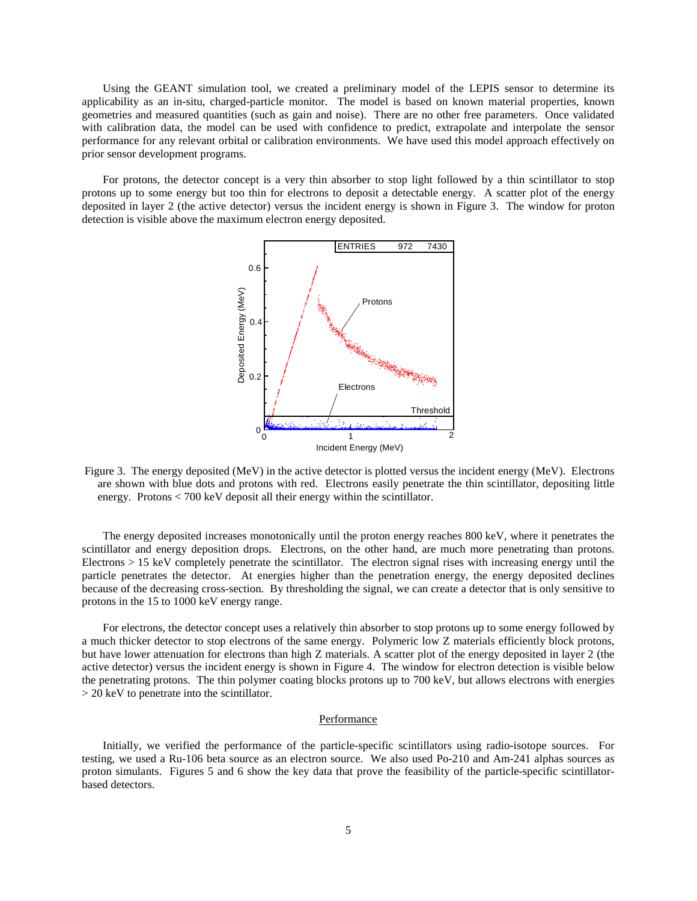Using the GEANT simulation tool, we created a preliminary model of the LEPIS sensor to determine its applicability as an in-situ, charged-particle monitor. The model is based on known material properties, known geometries and measured quantities (such as gain and noise). There are no other free parameters. Once validated with calibration data, the model can be used with confidence to predict, extrapolate and interpolate the sensor performance for any relevant orbital or calibration environments. We have used this model approach effectively on prior sensor development programs.

 For protons, the detector concept is a very thin absorber to stop light followed by a thin scintillator to stop protons up to some energy but too thin for electrons to deposit a detectable energy. A scatter plot of the energy deposited in layer 2 (the active detector) versus the incident energy is shown in Figure 3. The window for proton detection is visible above the maximum electron energy deposited.



Figure 3. The energy deposited (MeV) in the active detector is plotted versus the incident energy (MeV). Electrons are shown with blue dots and protons with red. Electrons easily penetrate the thin scintillator, depositing little energy. Protons < 700 keV deposit all their energy within the scintillator.

The energy deposited increases monotonically until the proton energy reaches 800 keV, where it penetrates the scintillator and energy deposition drops. Electrons, on the other hand, are much more penetrating than protons. Electrons > 15 keV completely penetrate the scintillator. The electron signal rises with increasing energy until the particle penetrates the detector. At energies higher than the penetration energy, the energy deposited declines because of the decreasing cross-section. By thresholding the signal, we can create a detector that is only sensitive to protons in the 15 to 1000 keV energy range.

For electrons, the detector concept uses a relatively thin absorber to stop protons up to some energy followed by a much thicker detector to stop electrons of the same energy. Polymeric low Z materials efficiently block protons, but have lower attenuation for electrons than high Z materials. A scatter plot of the energy deposited in layer 2 (the active detector) versus the incident energy is shown in Figure 4. The window for electron detection is visible below the penetrating protons. The thin polymer coating blocks protons up to 700 keV, but allows electrons with energies > 20 keV to penetrate into the scintillator.

#### **Performance**

Initially, we verified the performance of the particle-specific scintillators using radio-isotope sources. For testing, we used a Ru-106 beta source as an electron source. We also used Po-210 and Am-241 alphas sources as proton simulants. Figures 5 and 6 show the key data that prove the feasibility of the particle-specific scintillatorbased detectors.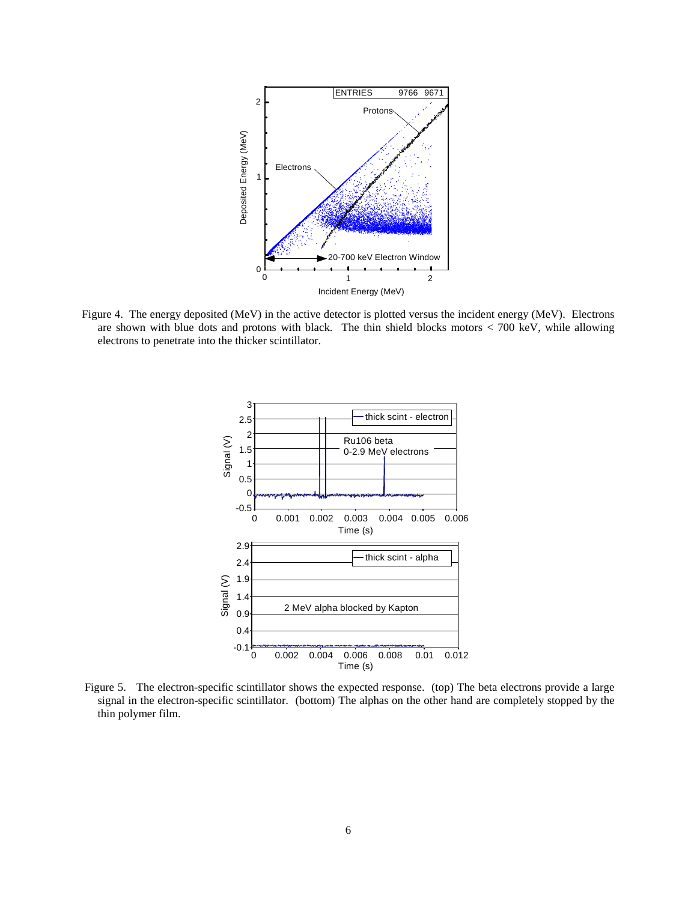

Figure 4. The energy deposited (MeV) in the active detector is plotted versus the incident energy (MeV). Electrons are shown with blue dots and protons with black. The thin shield blocks motors  $<$  700 keV, while allowing electrons to penetrate into the thicker scintillator.



Figure 5. The electron-specific scintillator shows the expected response. (top) The beta electrons provide a large signal in the electron-specific scintillator. (bottom) The alphas on the other hand are completely stopped by the thin polymer film.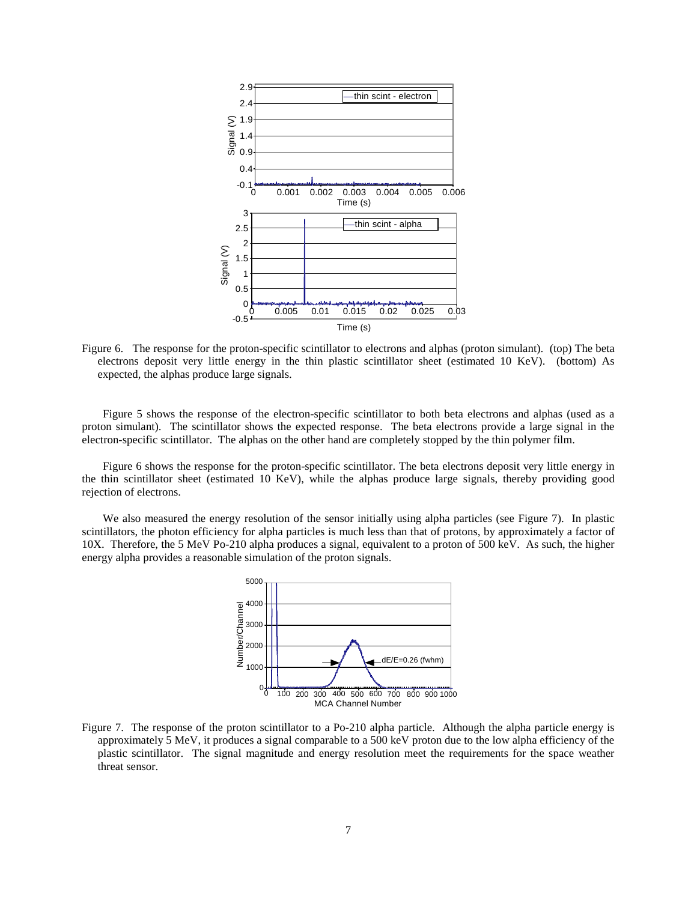

Figure 6. The response for the proton-specific scintillator to electrons and alphas (proton simulant). (top) The beta electrons deposit very little energy in the thin plastic scintillator sheet (estimated 10 KeV). (bottom) As expected, the alphas produce large signals.

 Figure 5 shows the response of the electron-specific scintillator to both beta electrons and alphas (used as a proton simulant). The scintillator shows the expected response. The beta electrons provide a large signal in the electron-specific scintillator. The alphas on the other hand are completely stopped by the thin polymer film.

Figure 6 shows the response for the proton-specific scintillator. The beta electrons deposit very little energy in the thin scintillator sheet (estimated 10 KeV), while the alphas produce large signals, thereby providing good rejection of electrons.

We also measured the energy resolution of the sensor initially using alpha particles (see Figure 7). In plastic scintillators, the photon efficiency for alpha particles is much less than that of protons, by approximately a factor of 10X. Therefore, the 5 MeV Po-210 alpha produces a signal, equivalent to a proton of 500 keV. As such, the higher energy alpha provides a reasonable simulation of the proton signals.



Figure 7. The response of the proton scintillator to a Po-210 alpha particle. Although the alpha particle energy is approximately 5 MeV, it produces a signal comparable to a 500 keV proton due to the low alpha efficiency of the plastic scintillator. The signal magnitude and energy resolution meet the requirements for the space weather threat sensor.